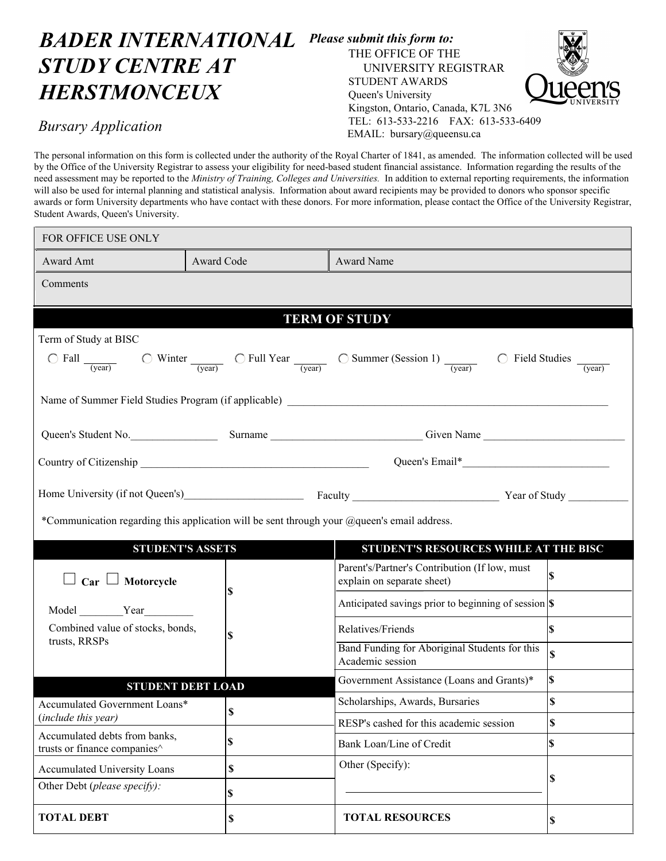## *BADER INTERNATIONAL Please submit this form to: STUDY CENTRE AT HERSTMONCEUX*

## THE OFFICE OF THE UNIVERSITY REGISTRAR STUDENT AWARDS Queen's University Kingston, Ontario, Canada, K7L 3N6 TEL: 613-533-2216 FAX: 613-533-6409 EMAIL: bursary@queensu.ca



## *Bursary Application*

The personal information on this form is collected under the authority of the Royal Charter of 1841, as amended. The information collected will be used by the Office of the University Registrar to assess your eligibility for need-based student financial assistance. Information regarding the results of the need assessment may be reported to the *Ministry of Training, Colleges and Universities.* In addition to external reporting requirements, the information will also be used for internal planning and statistical analysis. Information about award recipients may be provided to donors who sponsor specific awards or form University departments who have contact with these donors. For more information, please contact the Office of the University Registrar, Student Awards, Queen's University.

| FOR OFFICE USE ONLY                                                                                                                                                                                                                             |                           |                                                                   |                         |  |
|-------------------------------------------------------------------------------------------------------------------------------------------------------------------------------------------------------------------------------------------------|---------------------------|-------------------------------------------------------------------|-------------------------|--|
| Award Amt                                                                                                                                                                                                                                       | Award Code                | Award Name                                                        |                         |  |
| Comments                                                                                                                                                                                                                                        |                           |                                                                   |                         |  |
|                                                                                                                                                                                                                                                 |                           |                                                                   |                         |  |
| <b>TERM OF STUDY</b>                                                                                                                                                                                                                            |                           |                                                                   |                         |  |
| Term of Study at BISC                                                                                                                                                                                                                           |                           |                                                                   |                         |  |
| $\bigcirc$ Fall $\frac{1}{\text{(year)}}$ $\bigcirc$ Winter $\frac{1}{\text{(year)}}$ $\bigcirc$ Full Year $\frac{1}{\text{(year)}}$ $\bigcirc$ Summer (Session 1) $\frac{1}{\text{(year)}}$ $\bigcirc$ Field Studies $\frac{1}{\text{(year)}}$ |                           |                                                                   |                         |  |
| Name of Summer Field Studies Program (if applicable) ____________________________                                                                                                                                                               |                           |                                                                   |                         |  |
|                                                                                                                                                                                                                                                 |                           |                                                                   |                         |  |
|                                                                                                                                                                                                                                                 |                           |                                                                   |                         |  |
| Home University (if not Queen's) Faculty Faculty Faculty Faculty Pear of Study<br>*Communication regarding this application will be sent through your @queen's email address.                                                                   |                           |                                                                   |                         |  |
| STUDENT'S RESOURCES WHILE AT THE BISC<br><b>STUDENT'S ASSETS</b>                                                                                                                                                                                |                           |                                                                   |                         |  |
|                                                                                                                                                                                                                                                 |                           | Parent's/Partner's Contribution (If low, must                     |                         |  |
| $\Box$ Car $\Box$ Motorcycle<br>Model Year<br>Combined value of stocks, bonds,<br>trusts, RRSPs                                                                                                                                                 | \$                        | explain on separate sheet)                                        | <sup>8</sup>            |  |
|                                                                                                                                                                                                                                                 |                           | Anticipated savings prior to beginning of session \\              |                         |  |
|                                                                                                                                                                                                                                                 | \$                        | Relatives/Friends                                                 | ls.                     |  |
|                                                                                                                                                                                                                                                 |                           | Band Funding for Aboriginal Students for this<br>Academic session | $\overline{\mathbf{s}}$ |  |
| <b>STUDENT DEBT LOAD</b>                                                                                                                                                                                                                        |                           | Government Assistance (Loans and Grants)*                         | $\mathbf{s}$            |  |
| Accumulated Government Loans*<br>(include this year)                                                                                                                                                                                            | $\boldsymbol{\mathsf{S}}$ | Scholarships, Awards, Bursaries                                   | \$                      |  |
|                                                                                                                                                                                                                                                 |                           | RESP's cashed for this academic session                           | \$                      |  |
| Accumulated debts from banks,<br>trusts or finance companies <sup>^</sup>                                                                                                                                                                       | \$                        | Bank Loan/Line of Credit                                          | l\$                     |  |
| <b>Accumulated University Loans</b>                                                                                                                                                                                                             | \$                        | Other (Specify):                                                  |                         |  |
| Other Debt (please specify):                                                                                                                                                                                                                    | \$                        |                                                                   | \$                      |  |
| <b>TOTAL DEBT</b>                                                                                                                                                                                                                               | \$                        | <b>TOTAL RESOURCES</b>                                            | \$                      |  |